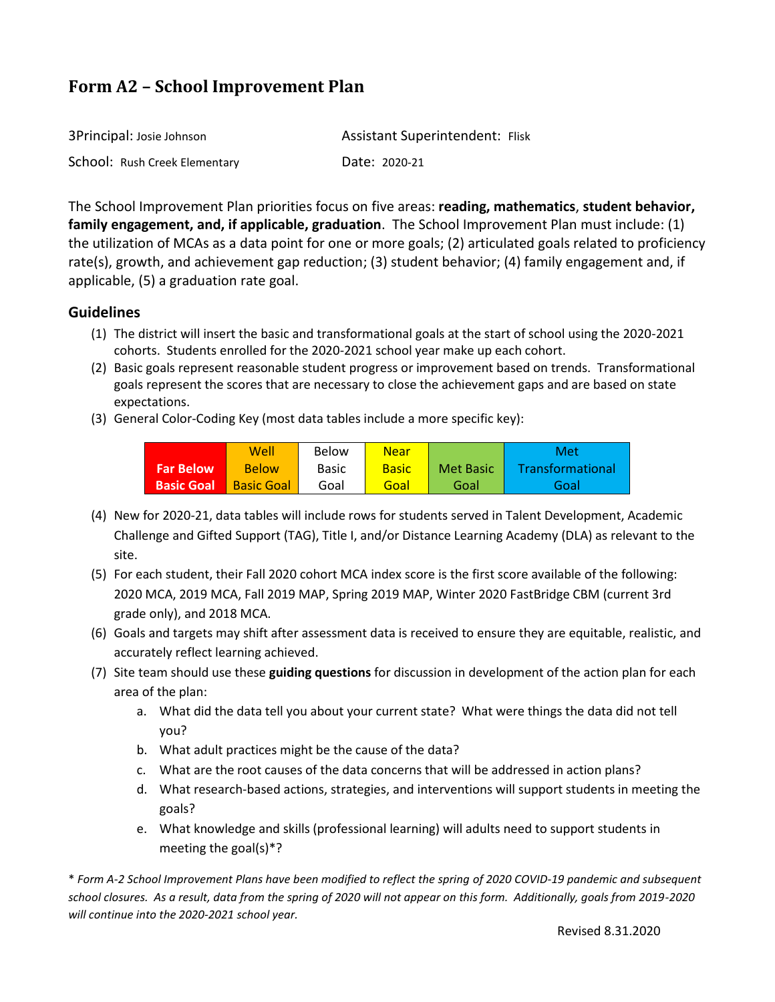# **Form A2 – School Improvement Plan**

| 3Principal: Josie Johnson     | <b>Assistant Superintendent: Flisk</b> |
|-------------------------------|----------------------------------------|
| School: Rush Creek Elementary | Date: 2020-21                          |

The School Improvement Plan priorities focus on five areas: **reading, mathematics**, **student behavior, family engagement, and, if applicable, graduation**. The School Improvement Plan must include: (1) the utilization of MCAs as a data point for one or more goals; (2) articulated goals related to proficiency rate(s), growth, and achievement gap reduction; (3) student behavior; (4) family engagement and, if applicable, (5) a graduation rate goal.

## **Guidelines**

- (1) The district will insert the basic and transformational goals at the start of school using the 2020-2021 cohorts. Students enrolled for the 2020-2021 school year make up each cohort.
- (2) Basic goals represent reasonable student progress or improvement based on trends. Transformational goals represent the scores that are necessary to close the achievement gaps and are based on state expectations.
- (3) General Color-Coding Key (most data tables include a more specific key):

|                   | Well              | Below        | Near         |           | Met                     |
|-------------------|-------------------|--------------|--------------|-----------|-------------------------|
| <b>Far Below</b>  | <b>Below</b>      | <b>Basic</b> | <b>Basic</b> | Met Basic | <b>Transformational</b> |
| <b>Basic Goal</b> | <b>Basic Goal</b> | Goal         | Goal         | Goal      | Goal                    |

- (4) New for 2020-21, data tables will include rows for students served in Talent Development, Academic Challenge and Gifted Support (TAG), Title I, and/or Distance Learning Academy (DLA) as relevant to the site.
- (5) For each student, their Fall 2020 cohort MCA index score is the first score available of the following: 2020 MCA, 2019 MCA, Fall 2019 MAP, Spring 2019 MAP, Winter 2020 FastBridge CBM (current 3rd grade only), and 2018 MCA.
- (6) Goals and targets may shift after assessment data is received to ensure they are equitable, realistic, and accurately reflect learning achieved.
- (7) Site team should use these **guiding questions** for discussion in development of the action plan for each area of the plan:
	- a. What did the data tell you about your current state? What were things the data did not tell you?
	- b. What adult practices might be the cause of the data?
	- c. What are the root causes of the data concerns that will be addressed in action plans?
	- d. What research-based actions, strategies, and interventions will support students in meeting the goals?
	- e. What knowledge and skills (professional learning) will adults need to support students in meeting the goal(s)\*?

\* *Form A-2 School Improvement Plans have been modified to reflect the spring of 2020 COVID-19 pandemic and subsequent school closures. As a result, data from the spring of 2020 will not appear on this form. Additionally, goals from 2019-2020 will continue into the 2020-2021 school year.*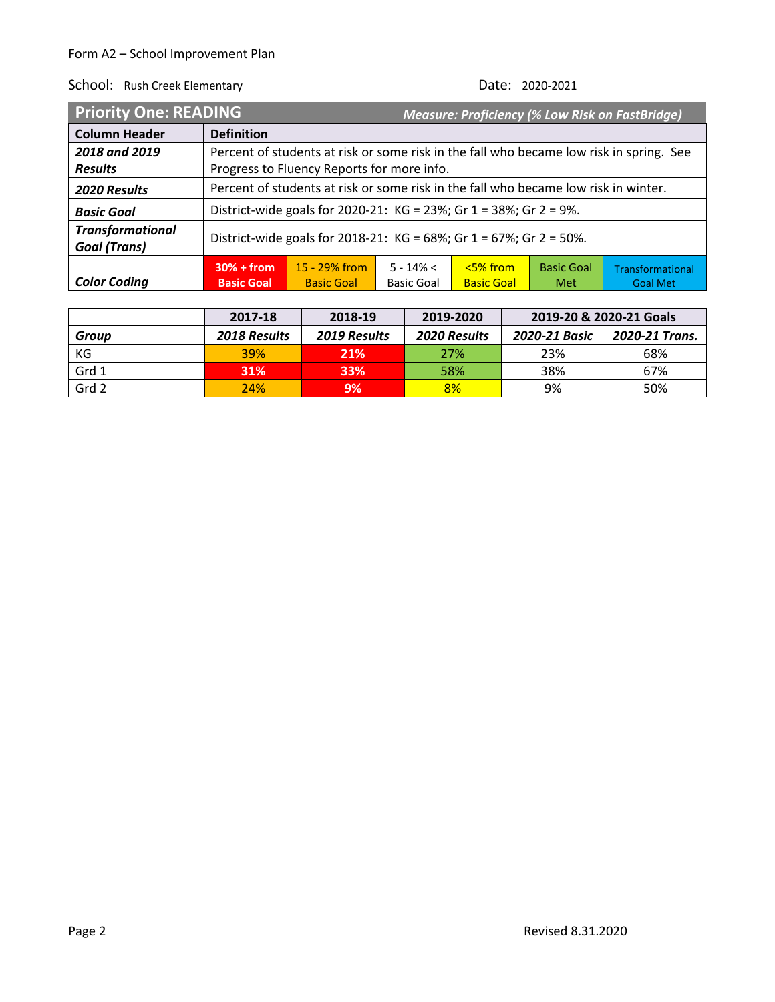| <b>Priority One: READING</b>                   |                                                                                     |                                                                                         |                                   |                                |                          | <b>Measure: Proficiency (% Low Risk on FastBridge)</b> |  |  |
|------------------------------------------------|-------------------------------------------------------------------------------------|-----------------------------------------------------------------------------------------|-----------------------------------|--------------------------------|--------------------------|--------------------------------------------------------|--|--|
| <b>Column Header</b>                           | <b>Definition</b>                                                                   |                                                                                         |                                   |                                |                          |                                                        |  |  |
| 2018 and 2019                                  |                                                                                     | Percent of students at risk or some risk in the fall who became low risk in spring. See |                                   |                                |                          |                                                        |  |  |
| <b>Results</b>                                 |                                                                                     | Progress to Fluency Reports for more info.                                              |                                   |                                |                          |                                                        |  |  |
| 2020 Results                                   | Percent of students at risk or some risk in the fall who became low risk in winter. |                                                                                         |                                   |                                |                          |                                                        |  |  |
| <b>Basic Goal</b>                              |                                                                                     | District-wide goals for 2020-21: KG = 23%; Gr 1 = 38%; Gr 2 = 9%.                       |                                   |                                |                          |                                                        |  |  |
| <b>Transformational</b><br><b>Goal (Trans)</b> | District-wide goals for 2018-21: KG = 68%; Gr 1 = 67%; Gr 2 = 50%.                  |                                                                                         |                                   |                                |                          |                                                        |  |  |
| <b>Color Coding</b>                            | $30% + from$<br><b>Basic Goal</b>                                                   | $15 - 29\%$ from<br><b>Basic Goal</b>                                                   | $5 - 14\% <$<br><b>Basic Goal</b> | $5%$ from<br><b>Basic Goal</b> | <b>Basic Goal</b><br>Met | Transformational<br><b>Goal Met</b>                    |  |  |

|       | 2017-18             | 2018-19      | 2019-2020           | 2019-20 & 2020-21 Goals |                |
|-------|---------------------|--------------|---------------------|-------------------------|----------------|
| Group | <b>2018 Results</b> | 2019 Results | <b>2020 Results</b> | 2020-21 Basic           | 2020-21 Trans. |
| КG    | <b>39%</b>          | 21%          | 27%                 | 23%                     | 68%            |
| Grd 1 | <b>31%</b>          | 33%          | 58%                 | 38%                     | 67%            |
| Grd 2 | 24%                 | 9%           | 8%                  | 9%                      | 50%            |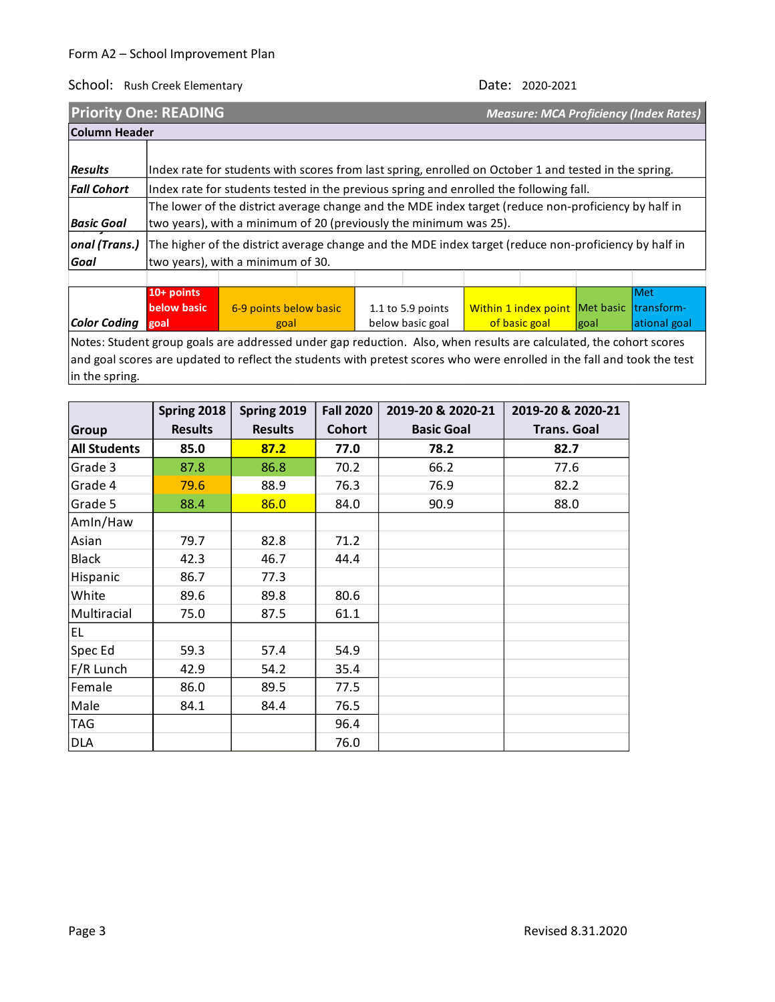School: Rush Creek Elementary

| <b>Priority One: READING</b> |                                                                                                                                                                                                                      |                                                                                                                                            |  |  |  |  |  | <b>Measure: MCA Proficiency (Index Rates)</b> |  |
|------------------------------|----------------------------------------------------------------------------------------------------------------------------------------------------------------------------------------------------------------------|--------------------------------------------------------------------------------------------------------------------------------------------|--|--|--|--|--|-----------------------------------------------|--|
|                              | Column Header                                                                                                                                                                                                        |                                                                                                                                            |  |  |  |  |  |                                               |  |
| <b>Results</b>               |                                                                                                                                                                                                                      | Index rate for students with scores from last spring, enrolled on October 1 and tested in the spring.                                      |  |  |  |  |  |                                               |  |
| <b>Fall Cohort</b>           |                                                                                                                                                                                                                      | Index rate for students tested in the previous spring and enrolled the following fall.                                                     |  |  |  |  |  |                                               |  |
| <b>Basic Goal</b>            | The lower of the district average change and the MDE index target (reduce non-proficiency by half in<br>two years), with a minimum of 20 (previously the minimum was 25).                                            |                                                                                                                                            |  |  |  |  |  |                                               |  |
| onal (Trans.)<br>Goal        |                                                                                                                                                                                                                      | The higher of the district average change and the MDE index target (reduce non-proficiency by half in<br>two years), with a minimum of 30. |  |  |  |  |  |                                               |  |
|                              |                                                                                                                                                                                                                      |                                                                                                                                            |  |  |  |  |  |                                               |  |
| <b>Color Coding</b>          | <b>Met</b><br>10+ points<br>below basic<br>Within 1 index point   Met basic   transform-<br>6-9 points below basic<br>1.1 to 5.9 points<br>ational goal<br>below basic goal<br>of basic goal<br>goal<br>goal<br>goal |                                                                                                                                            |  |  |  |  |  |                                               |  |
|                              | Notes: Student group goals are addressed under gap reduction. Also, when results are calculated, the cohort scores                                                                                                   |                                                                                                                                            |  |  |  |  |  |                                               |  |

and goal scores are updated to reflect the students with pretest scores who were enrolled in the fall and took the test in the spring.

|                     | Spring 2018    | Spring 2019    | <b>Fall 2020</b> | 2019-20 & 2020-21 | 2019-20 & 2020-21  |
|---------------------|----------------|----------------|------------------|-------------------|--------------------|
| <b>Group</b>        | <b>Results</b> | <b>Results</b> | <b>Cohort</b>    | <b>Basic Goal</b> | <b>Trans. Goal</b> |
| <b>All Students</b> | 85.0           | 87.2           | 77.0             | 78.2              | 82.7               |
| Grade 3             | 87.8           | 86.8           | 70.2             | 66.2              | 77.6               |
| Grade 4             | 79.6           | 88.9           | 76.3             | 76.9              | 82.2               |
| Grade 5             | 88.4           | 86.0           | 84.0             | 90.9              | 88.0               |
| Amin/Haw            |                |                |                  |                   |                    |
| Asian               | 79.7           | 82.8           | 71.2             |                   |                    |
| Black               | 42.3           | 46.7           | 44.4             |                   |                    |
| Hispanic            | 86.7           | 77.3           |                  |                   |                    |
| White               | 89.6           | 89.8           | 80.6             |                   |                    |
| Multiracial         | 75.0           | 87.5           | 61.1             |                   |                    |
| EL.                 |                |                |                  |                   |                    |
| Spec Ed             | 59.3           | 57.4           | 54.9             |                   |                    |
| F/R Lunch           | 42.9           | 54.2           | 35.4             |                   |                    |
| Female              | 86.0           | 89.5           | 77.5             |                   |                    |
| Male                | 84.1           | 84.4           | 76.5             |                   |                    |
| <b>TAG</b>          |                |                | 96.4             |                   |                    |
| <b>DLA</b>          |                |                | 76.0             |                   |                    |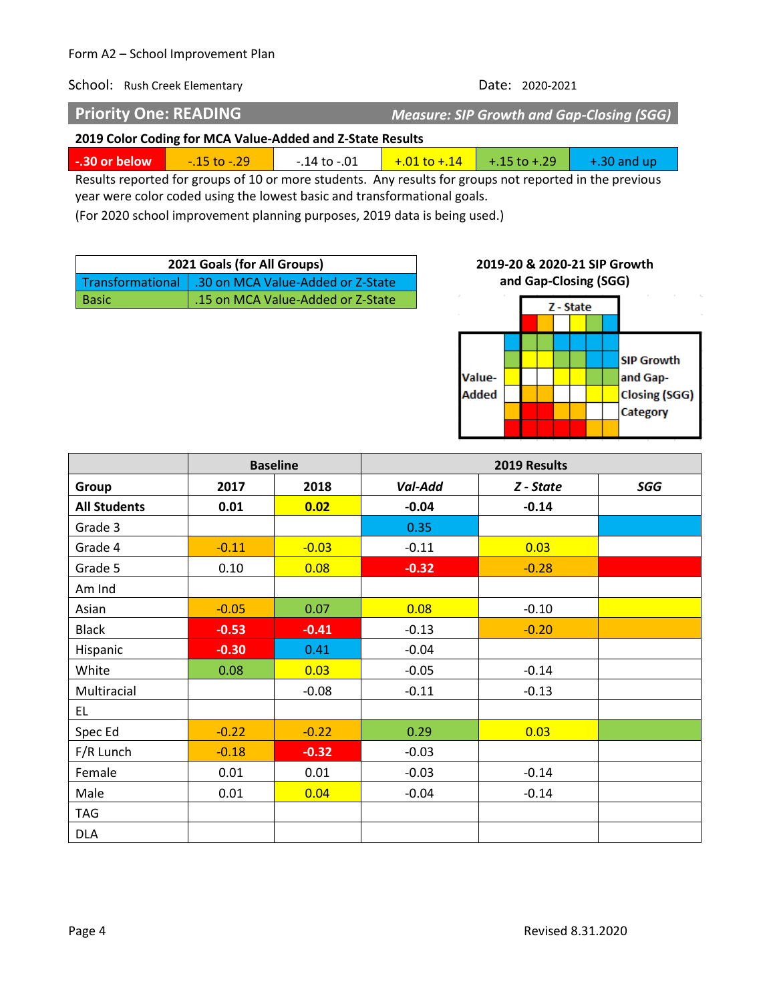### Form A2 – School Improvement Plan

School: Rush Creek Elementary **Date: 2020-2021** 

**Priority One: READING** *Measure: SIP Growth and Gap-Closing (SGG)*

**2019 Color Coding for MCA Value-Added and Z-State Results**

**-.30 or below** -.15 to -.29 -.14 to -.01 -.01 to +.14 +.15 to +.29 +.30 and up

Results reported for groups of 10 or more students. Any results for groups not reported in the previous year were color coded using the lowest basic and transformational goals.

(For 2020 school improvement planning purposes, 2019 data is being used.)

| 2021 Goals (for All Groups) |                                                      |  |  |  |
|-----------------------------|------------------------------------------------------|--|--|--|
|                             | Transformational   .30 on MCA Value-Added or Z-State |  |  |  |
| <b>Basic</b>                | 15 on MCA Value-Added or Z-State                     |  |  |  |

### **2019-20 & 2020-21 SIP Growth and Gap-Closing (SGG)**



|                     | <b>Baseline</b> |         | 2019 Results |           |     |  |  |
|---------------------|-----------------|---------|--------------|-----------|-----|--|--|
| Group               | 2017            | 2018    | Val-Add      | Z - State | SGG |  |  |
| <b>All Students</b> | 0.01            | 0.02    | $-0.04$      | $-0.14$   |     |  |  |
| Grade 3             |                 |         | 0.35         |           |     |  |  |
| Grade 4             | $-0.11$         | $-0.03$ | $-0.11$      | 0.03      |     |  |  |
| Grade 5             | 0.10            | 0.08    | $-0.32$      | $-0.28$   |     |  |  |
| Am Ind              |                 |         |              |           |     |  |  |
| Asian               | $-0.05$         | 0.07    | 0.08         | $-0.10$   |     |  |  |
| <b>Black</b>        | $-0.53$         | $-0.41$ | $-0.13$      | $-0.20$   |     |  |  |
| Hispanic            | $-0.30$         | 0.41    | $-0.04$      |           |     |  |  |
| White               | 0.08            | 0.03    | $-0.05$      | $-0.14$   |     |  |  |
| Multiracial         |                 | $-0.08$ | $-0.11$      | $-0.13$   |     |  |  |
| EL.                 |                 |         |              |           |     |  |  |
| Spec Ed             | $-0.22$         | $-0.22$ | 0.29         | 0.03      |     |  |  |
| F/R Lunch           | $-0.18$         | $-0.32$ | $-0.03$      |           |     |  |  |
| Female              | 0.01            | 0.01    | $-0.03$      | $-0.14$   |     |  |  |
| Male                | 0.01            | 0.04    | $-0.04$      | $-0.14$   |     |  |  |
| <b>TAG</b>          |                 |         |              |           |     |  |  |
| <b>DLA</b>          |                 |         |              |           |     |  |  |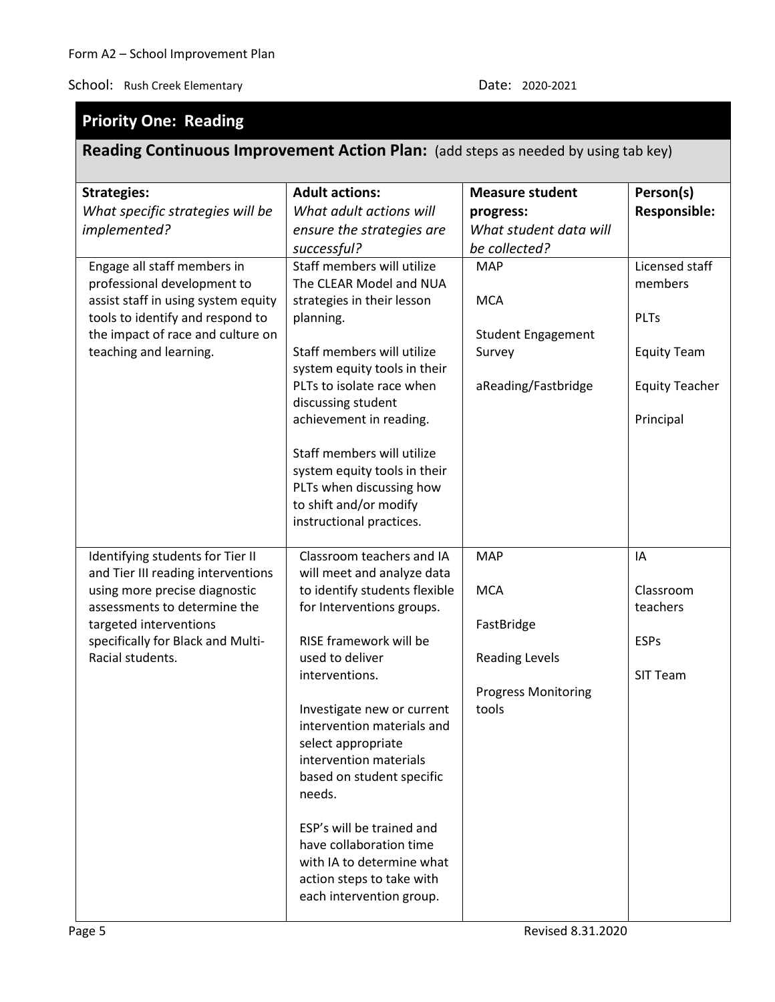# **Priority One: Reading**

# **Reading Continuous Improvement Action Plan:** (add steps as needed by using tab key)

| <b>Strategies:</b><br>What specific strategies will be                                                                                                                                                                     | <b>Adult actions:</b><br>What adult actions will                                                                                                                                                                                                                                                                                                                                                                                                                                      | <b>Measure student</b><br>progress:                                                                    | Person(s)<br><b>Responsible:</b>                                                                     |
|----------------------------------------------------------------------------------------------------------------------------------------------------------------------------------------------------------------------------|---------------------------------------------------------------------------------------------------------------------------------------------------------------------------------------------------------------------------------------------------------------------------------------------------------------------------------------------------------------------------------------------------------------------------------------------------------------------------------------|--------------------------------------------------------------------------------------------------------|------------------------------------------------------------------------------------------------------|
| implemented?                                                                                                                                                                                                               | ensure the strategies are                                                                                                                                                                                                                                                                                                                                                                                                                                                             | What student data will                                                                                 |                                                                                                      |
|                                                                                                                                                                                                                            | successful?                                                                                                                                                                                                                                                                                                                                                                                                                                                                           | be collected?                                                                                          |                                                                                                      |
| Engage all staff members in<br>professional development to<br>assist staff in using system equity<br>tools to identify and respond to<br>the impact of race and culture on<br>teaching and learning.                       | Staff members will utilize<br>The CLEAR Model and NUA<br>strategies in their lesson<br>planning.<br>Staff members will utilize<br>system equity tools in their<br>PLTs to isolate race when<br>discussing student<br>achievement in reading.<br>Staff members will utilize<br>system equity tools in their<br>PLTs when discussing how<br>to shift and/or modify<br>instructional practices.                                                                                          | <b>MAP</b><br><b>MCA</b><br><b>Student Engagement</b><br>Survey<br>aReading/Fastbridge                 | Licensed staff<br>members<br><b>PLTs</b><br><b>Equity Team</b><br><b>Equity Teacher</b><br>Principal |
| Identifying students for Tier II<br>and Tier III reading interventions<br>using more precise diagnostic<br>assessments to determine the<br>targeted interventions<br>specifically for Black and Multi-<br>Racial students. | Classroom teachers and IA<br>will meet and analyze data<br>to identify students flexible<br>for Interventions groups.<br>RISE framework will be<br>used to deliver<br>interventions.<br>Investigate new or current<br>intervention materials and<br>select appropriate<br>intervention materials<br>based on student specific<br>needs.<br>ESP's will be trained and<br>have collaboration time<br>with IA to determine what<br>action steps to take with<br>each intervention group. | <b>MAP</b><br><b>MCA</b><br>FastBridge<br><b>Reading Levels</b><br><b>Progress Monitoring</b><br>tools | IA<br>Classroom<br>teachers<br><b>ESPs</b><br><b>SIT Team</b>                                        |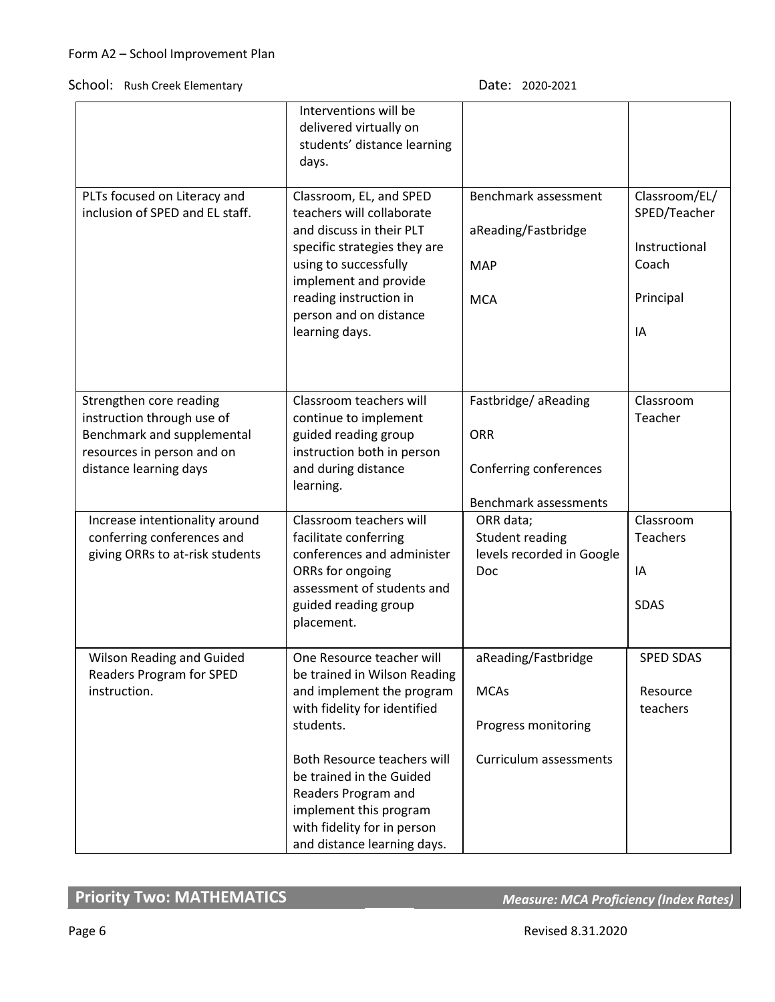|                                                                                                                                             | Interventions will be<br>delivered virtually on<br>students' distance learning<br>days.                                                                                                                                                                                                                       |                                                                                      |                                                                            |
|---------------------------------------------------------------------------------------------------------------------------------------------|---------------------------------------------------------------------------------------------------------------------------------------------------------------------------------------------------------------------------------------------------------------------------------------------------------------|--------------------------------------------------------------------------------------|----------------------------------------------------------------------------|
| PLTs focused on Literacy and<br>inclusion of SPED and EL staff.                                                                             | Classroom, EL, and SPED<br>teachers will collaborate<br>and discuss in their PLT<br>specific strategies they are<br>using to successfully<br>implement and provide<br>reading instruction in<br>person and on distance<br>learning days.                                                                      | Benchmark assessment<br>aReading/Fastbridge<br><b>MAP</b><br><b>MCA</b>              | Classroom/EL/<br>SPED/Teacher<br>Instructional<br>Coach<br>Principal<br>IA |
| Strengthen core reading<br>instruction through use of<br>Benchmark and supplemental<br>resources in person and on<br>distance learning days | Classroom teachers will<br>continue to implement<br>guided reading group<br>instruction both in person<br>and during distance<br>learning.                                                                                                                                                                    | Fastbridge/aReading<br><b>ORR</b><br>Conferring conferences<br>Benchmark assessments | Classroom<br>Teacher                                                       |
| Increase intentionality around<br>conferring conferences and<br>giving ORRs to at-risk students                                             | Classroom teachers will<br>facilitate conferring<br>conferences and administer<br>ORRs for ongoing<br>assessment of students and<br>guided reading group<br>placement.                                                                                                                                        | ORR data;<br>Student reading<br>levels recorded in Google<br>Doc                     | Classroom<br>Teachers<br>IA<br><b>SDAS</b>                                 |
| Wilson Reading and Guided<br>Readers Program for SPED<br>instruction.                                                                       | One Resource teacher will<br>be trained in Wilson Reading<br>and implement the program<br>with fidelity for identified<br>students.<br>Both Resource teachers will<br>be trained in the Guided<br>Readers Program and<br>implement this program<br>with fidelity for in person<br>and distance learning days. | aReading/Fastbridge<br><b>MCAs</b><br>Progress monitoring<br>Curriculum assessments  | <b>SPED SDAS</b><br>Resource<br>teachers                                   |

# **Priority Two: MATHEMATICS** *Measure: MCA Proficiency (Index Rates)*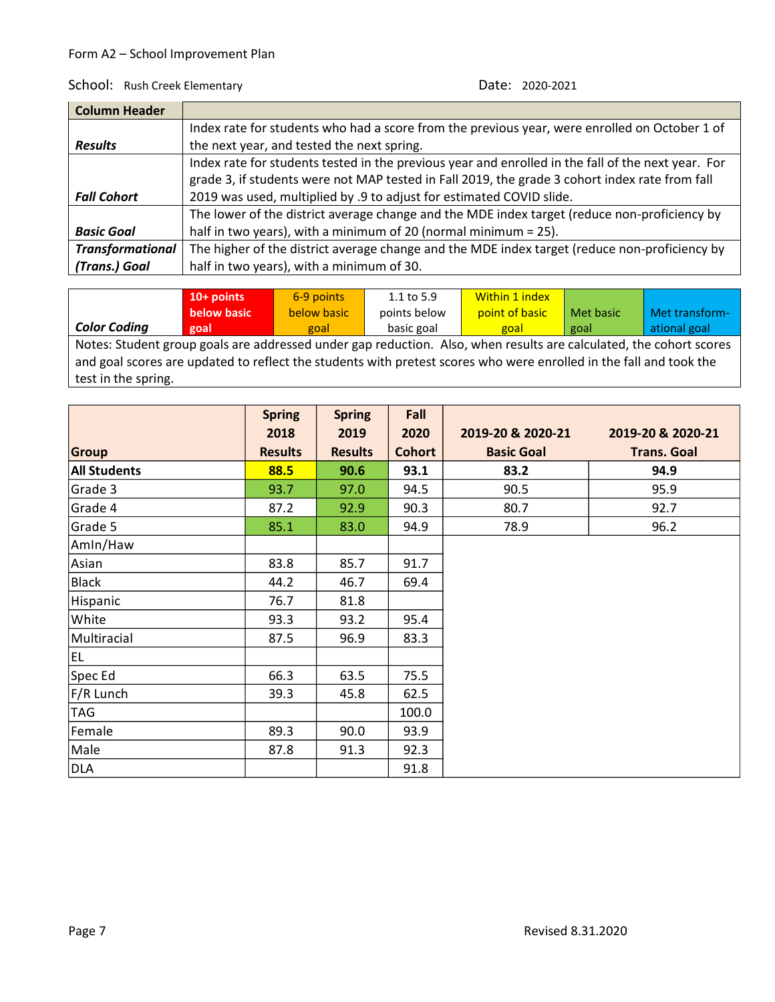**Contract Contract Contract Contract** 

| <b>Column Header</b>    |                                                                                                    |
|-------------------------|----------------------------------------------------------------------------------------------------|
|                         | Index rate for students who had a score from the previous year, were enrolled on October 1 of      |
| <b>Results</b>          | the next year, and tested the next spring.                                                         |
|                         | Index rate for students tested in the previous year and enrolled in the fall of the next year. For |
|                         | grade 3, if students were not MAP tested in Fall 2019, the grade 3 cohort index rate from fall     |
| <b>Fall Cohort</b>      | 2019 was used, multiplied by .9 to adjust for estimated COVID slide.                               |
|                         | The lower of the district average change and the MDE index target (reduce non-proficiency by       |
| <b>Basic Goal</b>       | half in two years), with a minimum of 20 (normal minimum = 25).                                    |
| <b>Transformational</b> | The higher of the district average change and the MDE index target (reduce non-proficiency by      |
| (Trans.) Goal           | half in two years), with a minimum of 30.                                                          |

|                     | $10+$ points | 6-9 points  | $1.1$ to 5.9 | <b>Within 1 index</b> |           |                |
|---------------------|--------------|-------------|--------------|-----------------------|-----------|----------------|
|                     | below basic  | below basic | points below | point of basic        | Met basic | Met transform- |
| <b>Color Coding</b> | goal         | goal        | basic goal   | goal                  | goal      | ational goal   |
|                     |              |             |              |                       |           |                |

Notes: Student group goals are addressed under gap reduction. Also, when results are calculated, the cohort scores and goal scores are updated to reflect the students with pretest scores who were enrolled in the fall and took the test in the spring.

|                     | <b>Spring</b>  | <b>Spring</b>  | Fall          |                   |                    |
|---------------------|----------------|----------------|---------------|-------------------|--------------------|
|                     | 2018           | 2019           | 2020          | 2019-20 & 2020-21 | 2019-20 & 2020-21  |
| Group               | <b>Results</b> | <b>Results</b> | <b>Cohort</b> | <b>Basic Goal</b> | <b>Trans. Goal</b> |
| <b>All Students</b> | 88.5           | 90.6           | 93.1          | 83.2              | 94.9               |
| Grade 3             | 93.7           | 97.0           | 94.5          | 90.5              | 95.9               |
| Grade 4             | 87.2           | 92.9           | 90.3          | 80.7              | 92.7               |
| Grade 5             | 85.1           | 83.0           | 94.9          | 78.9              | 96.2               |
| Amin/Haw            |                |                |               |                   |                    |
| Asian               | 83.8           | 85.7           | 91.7          |                   |                    |
| Black               | 44.2           | 46.7           | 69.4          |                   |                    |
| Hispanic            | 76.7           | 81.8           |               |                   |                    |
| White               | 93.3           | 93.2           | 95.4          |                   |                    |
| Multiracial         | 87.5           | 96.9           | 83.3          |                   |                    |
| EL.                 |                |                |               |                   |                    |
| Spec Ed             | 66.3           | 63.5           | 75.5          |                   |                    |
| F/R Lunch           | 39.3           | 45.8           | 62.5          |                   |                    |
| TAG                 |                |                | 100.0         |                   |                    |
| Female              | 89.3           | 90.0           | 93.9          |                   |                    |
| Male                | 87.8           | 91.3           | 92.3          |                   |                    |
| <b>DLA</b>          |                |                | 91.8          |                   |                    |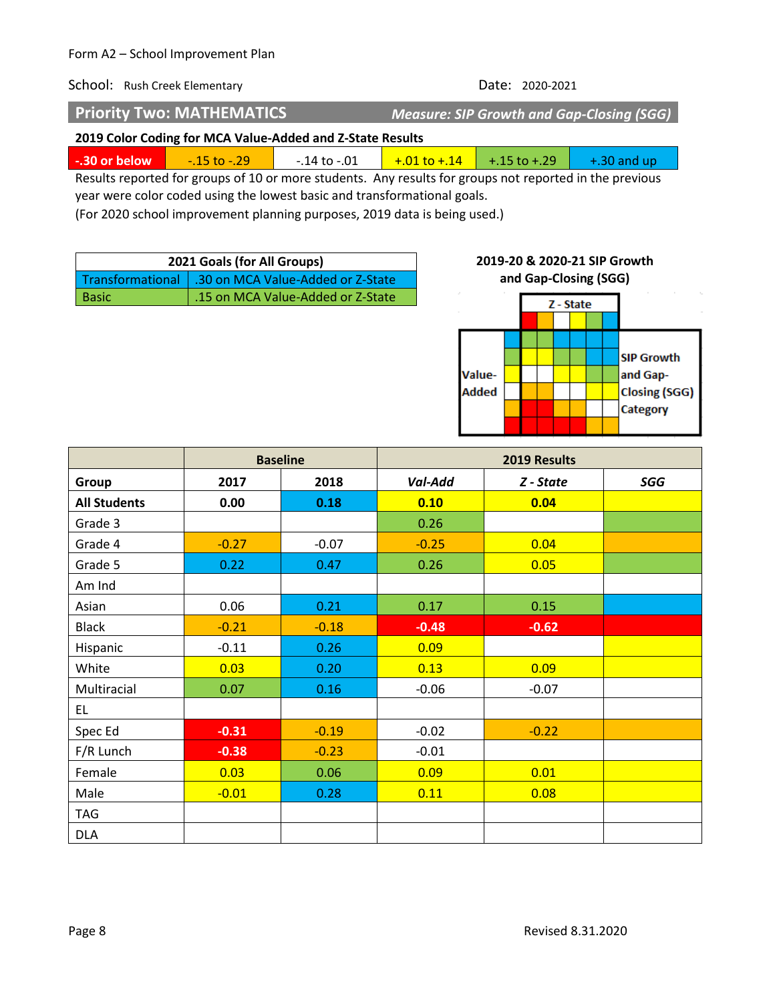**Priority Two: MATHEMATICS** *Measure: SIP Growth and Gap-Closing (SGG)*

**Added** 

### **2019 Color Coding for MCA Value-Added and Z-State Results**

| $\sim$ $\sim$ $\sim$ | $\overline{\phantom{a}}$ |  |  |
|----------------------|--------------------------|--|--|

Results reported for groups of 10 or more students. Any results for groups not reported in the previous year were color coded using the lowest basic and transformational goals.

(For 2020 school improvement planning purposes, 2019 data is being used.)

| 2021 Goals (for All Groups) |                                                      |  |
|-----------------------------|------------------------------------------------------|--|
|                             | Transformational   .30 on MCA Value-Added or Z-State |  |
| <b>Basic</b>                | 15 on MCA Value-Added or Z-State                     |  |

# **2019-20 & 2020-21 SIP Growth and Gap-Closing (SGG)**Z - State **SIP Growth** Valueand Gap-

**Closing (SGG)** Category

|                     | <b>Baseline</b> |         |         | 2019 Results |     |
|---------------------|-----------------|---------|---------|--------------|-----|
| Group               | 2017            | 2018    | Val-Add | Z - State    | SGG |
| <b>All Students</b> | 0.00            | 0.18    | 0.10    | 0.04         |     |
| Grade 3             |                 |         | 0.26    |              |     |
| Grade 4             | $-0.27$         | $-0.07$ | $-0.25$ | 0.04         |     |
| Grade 5             | 0.22            | 0.47    | 0.26    | 0.05         |     |
| Am Ind              |                 |         |         |              |     |
| Asian               | 0.06            | 0.21    | 0.17    | 0.15         |     |
| <b>Black</b>        | $-0.21$         | $-0.18$ | $-0.48$ | $-0.62$      |     |
| Hispanic            | $-0.11$         | 0.26    | 0.09    |              |     |
| White               | 0.03            | 0.20    | 0.13    | 0.09         |     |
| Multiracial         | 0.07            | 0.16    | $-0.06$ | $-0.07$      |     |
| EL.                 |                 |         |         |              |     |
| Spec Ed             | $-0.31$         | $-0.19$ | $-0.02$ | $-0.22$      |     |
| F/R Lunch           | $-0.38$         | $-0.23$ | $-0.01$ |              |     |
| Female              | 0.03            | 0.06    | 0.09    | 0.01         |     |
| Male                | $-0.01$         | 0.28    | 0.11    | 0.08         |     |
| <b>TAG</b>          |                 |         |         |              |     |
| <b>DLA</b>          |                 |         |         |              |     |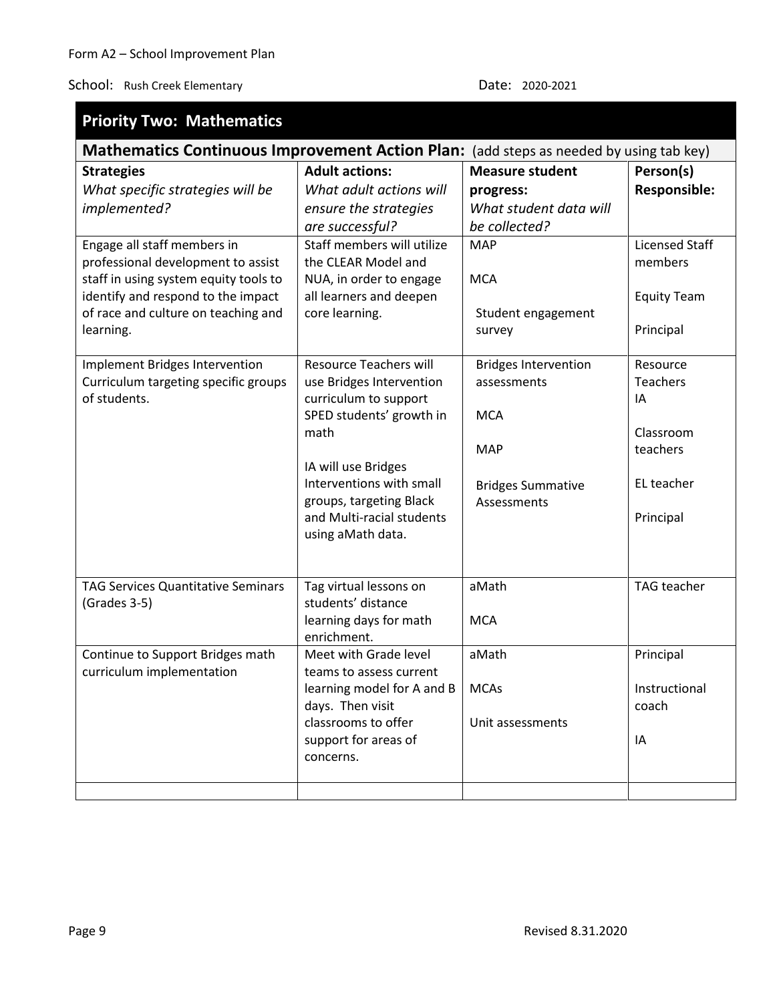| <b>Priority Two: Mathematics</b>                                                       |                               |                                            |                       |
|----------------------------------------------------------------------------------------|-------------------------------|--------------------------------------------|-----------------------|
| Mathematics Continuous Improvement Action Plan: (add steps as needed by using tab key) |                               |                                            |                       |
| <b>Strategies</b>                                                                      | <b>Adult actions:</b>         | <b>Measure student</b>                     | Person(s)             |
| What specific strategies will be                                                       | What adult actions will       | progress:                                  | <b>Responsible:</b>   |
| implemented?                                                                           | ensure the strategies         | What student data will                     |                       |
|                                                                                        | are successful?               | be collected?                              |                       |
| Engage all staff members in                                                            | Staff members will utilize    | <b>MAP</b>                                 | <b>Licensed Staff</b> |
| professional development to assist                                                     | the CLEAR Model and           |                                            | members               |
| staff in using system equity tools to                                                  | NUA, in order to engage       | <b>MCA</b>                                 |                       |
| identify and respond to the impact                                                     | all learners and deepen       |                                            | <b>Equity Team</b>    |
| of race and culture on teaching and                                                    | core learning.                | Student engagement                         |                       |
| learning.                                                                              |                               | survey                                     | Principal             |
|                                                                                        | <b>Resource Teachers will</b> |                                            | Resource              |
| Implement Bridges Intervention<br>Curriculum targeting specific groups                 | use Bridges Intervention      | <b>Bridges Intervention</b><br>assessments | <b>Teachers</b>       |
| of students.                                                                           | curriculum to support         |                                            | IA                    |
|                                                                                        | SPED students' growth in      | <b>MCA</b>                                 |                       |
|                                                                                        | math                          |                                            | Classroom             |
|                                                                                        |                               | <b>MAP</b>                                 | teachers              |
|                                                                                        | IA will use Bridges           |                                            |                       |
|                                                                                        | Interventions with small      | <b>Bridges Summative</b>                   | EL teacher            |
|                                                                                        | groups, targeting Black       | Assessments                                |                       |
|                                                                                        | and Multi-racial students     |                                            | Principal             |
|                                                                                        | using aMath data.             |                                            |                       |
|                                                                                        |                               |                                            |                       |
| <b>TAG Services Quantitative Seminars</b>                                              | Tag virtual lessons on        | aMath                                      | TAG teacher           |
| (Grades 3-5)                                                                           | students' distance            |                                            |                       |
|                                                                                        | learning days for math        | <b>MCA</b>                                 |                       |
|                                                                                        | enrichment.                   |                                            |                       |
| Continue to Support Bridges math                                                       | Meet with Grade level         | aMath                                      | Principal             |
| curriculum implementation                                                              | teams to assess current       |                                            |                       |
|                                                                                        | learning model for A and B    | <b>MCAs</b>                                | Instructional         |
|                                                                                        | days. Then visit              |                                            | coach                 |
|                                                                                        | classrooms to offer           | Unit assessments                           |                       |
|                                                                                        | support for areas of          |                                            | IA                    |
|                                                                                        | concerns.                     |                                            |                       |
|                                                                                        |                               |                                            |                       |
|                                                                                        |                               |                                            |                       |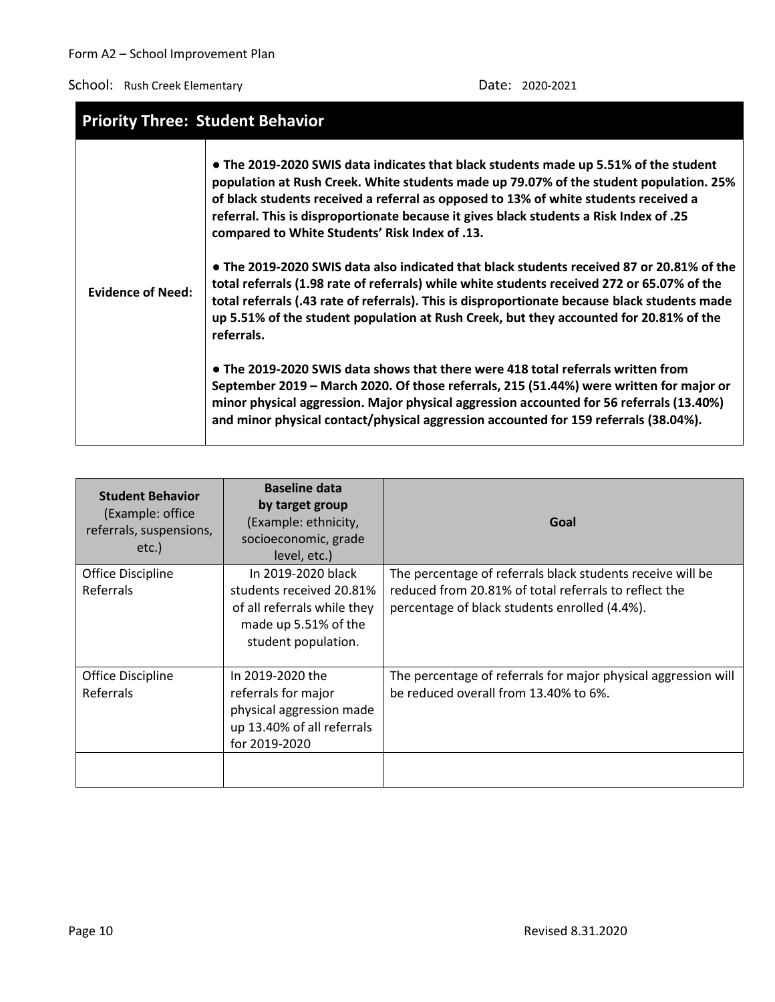| <b>Priority Three: Student Behavior</b> |                                                                                                                                                                                                                                                                                                                                                                                                                    |
|-----------------------------------------|--------------------------------------------------------------------------------------------------------------------------------------------------------------------------------------------------------------------------------------------------------------------------------------------------------------------------------------------------------------------------------------------------------------------|
|                                         | • The 2019-2020 SWIS data indicates that black students made up 5.51% of the student<br>population at Rush Creek. White students made up 79.07% of the student population. 25%<br>of black students received a referral as opposed to 13% of white students received a<br>referral. This is disproportionate because it gives black students a Risk Index of .25<br>compared to White Students' Risk Index of .13. |
| <b>Evidence of Need:</b>                | • The 2019-2020 SWIS data also indicated that black students received 87 or 20.81% of the<br>total referrals (1.98 rate of referrals) while white students received 272 or 65.07% of the<br>total referrals (.43 rate of referrals). This is disproportionate because black students made<br>up 5.51% of the student population at Rush Creek, but they accounted for 20.81% of the<br>referrals.                  |
|                                         | • The 2019-2020 SWIS data shows that there were 418 total referrals written from<br>September 2019 - March 2020. Of those referrals, 215 (51.44%) were written for major or<br>minor physical aggression. Major physical aggression accounted for 56 referrals (13.40%)<br>and minor physical contact/physical aggression accounted for 159 referrals (38.04%).                                                    |

| <b>Student Behavior</b><br>(Example: office<br>referrals, suspensions,<br>etc.) | <b>Baseline data</b><br>by target group<br>(Example: ethnicity,<br>socioeconomic, grade<br>level, etc.)                      | Goal                                                                                                                                                                 |
|---------------------------------------------------------------------------------|------------------------------------------------------------------------------------------------------------------------------|----------------------------------------------------------------------------------------------------------------------------------------------------------------------|
| Office Discipline<br><b>Referrals</b>                                           | In 2019-2020 black<br>students received 20.81%<br>of all referrals while they<br>made up 5.51% of the<br>student population. | The percentage of referrals black students receive will be<br>reduced from 20.81% of total referrals to reflect the<br>percentage of black students enrolled (4.4%). |
| <b>Office Discipline</b><br><b>Referrals</b>                                    | In 2019-2020 the<br>referrals for major<br>physical aggression made<br>up 13.40% of all referrals<br>for 2019-2020           | The percentage of referrals for major physical aggression will<br>be reduced overall from 13.40% to 6%.                                                              |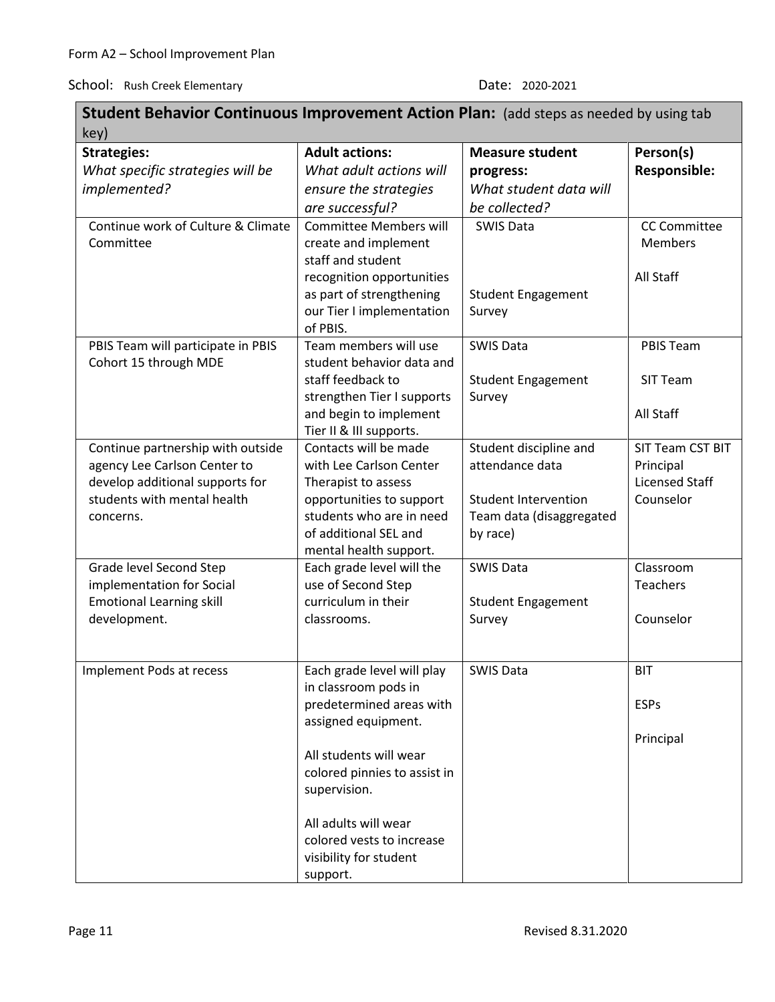| <b>Student Behavior Continuous Improvement Action Plan:</b> (add steps as needed by using tab |                                                  |                             |                       |
|-----------------------------------------------------------------------------------------------|--------------------------------------------------|-----------------------------|-----------------------|
| key)                                                                                          |                                                  |                             |                       |
| <b>Strategies:</b>                                                                            | <b>Adult actions:</b>                            | <b>Measure student</b>      | Person(s)             |
| What specific strategies will be                                                              | What adult actions will                          | progress:                   | <b>Responsible:</b>   |
| implemented?                                                                                  | ensure the strategies                            | What student data will      |                       |
|                                                                                               | are successful?                                  | be collected?               |                       |
| Continue work of Culture & Climate                                                            | <b>Committee Members will</b>                    | <b>SWIS Data</b>            | <b>CC Committee</b>   |
| Committee                                                                                     | create and implement                             |                             | <b>Members</b>        |
|                                                                                               | staff and student                                |                             |                       |
|                                                                                               | recognition opportunities                        |                             | All Staff             |
|                                                                                               | as part of strengthening                         | <b>Student Engagement</b>   |                       |
|                                                                                               | our Tier I implementation                        | Survey                      |                       |
|                                                                                               | of PBIS.                                         |                             |                       |
| PBIS Team will participate in PBIS                                                            | Team members will use                            | <b>SWIS Data</b>            | PBIS Team             |
| Cohort 15 through MDE                                                                         | student behavior data and                        |                             |                       |
|                                                                                               | staff feedback to                                | <b>Student Engagement</b>   | SIT Team              |
|                                                                                               | strengthen Tier I supports                       | Survey                      |                       |
|                                                                                               | and begin to implement                           |                             | All Staff             |
| Continue partnership with outside                                                             | Tier II & III supports.<br>Contacts will be made | Student discipline and      | SIT Team CST BIT      |
| agency Lee Carlson Center to                                                                  | with Lee Carlson Center                          | attendance data             | Principal             |
| develop additional supports for                                                               | Therapist to assess                              |                             | <b>Licensed Staff</b> |
| students with mental health                                                                   | opportunities to support                         | <b>Student Intervention</b> | Counselor             |
| concerns.                                                                                     | students who are in need                         | Team data (disaggregated    |                       |
|                                                                                               | of additional SEL and                            | by race)                    |                       |
|                                                                                               | mental health support.                           |                             |                       |
| Grade level Second Step                                                                       | Each grade level will the                        | <b>SWIS Data</b>            | Classroom             |
| implementation for Social                                                                     | use of Second Step                               |                             | <b>Teachers</b>       |
| <b>Emotional Learning skill</b>                                                               | curriculum in their                              | <b>Student Engagement</b>   |                       |
| development.                                                                                  | classrooms.                                      | Survey                      | Counselor             |
|                                                                                               |                                                  |                             |                       |
|                                                                                               |                                                  |                             |                       |
| Implement Pods at recess                                                                      | Each grade level will play                       | <b>SWIS Data</b>            | <b>BIT</b>            |
|                                                                                               | in classroom pods in                             |                             |                       |
|                                                                                               | predetermined areas with                         |                             | <b>ESPs</b>           |
|                                                                                               | assigned equipment.                              |                             |                       |
|                                                                                               |                                                  |                             | Principal             |
|                                                                                               | All students will wear                           |                             |                       |
|                                                                                               | colored pinnies to assist in<br>supervision.     |                             |                       |
|                                                                                               |                                                  |                             |                       |
|                                                                                               | All adults will wear                             |                             |                       |
|                                                                                               | colored vests to increase                        |                             |                       |
|                                                                                               | visibility for student                           |                             |                       |
|                                                                                               | support.                                         |                             |                       |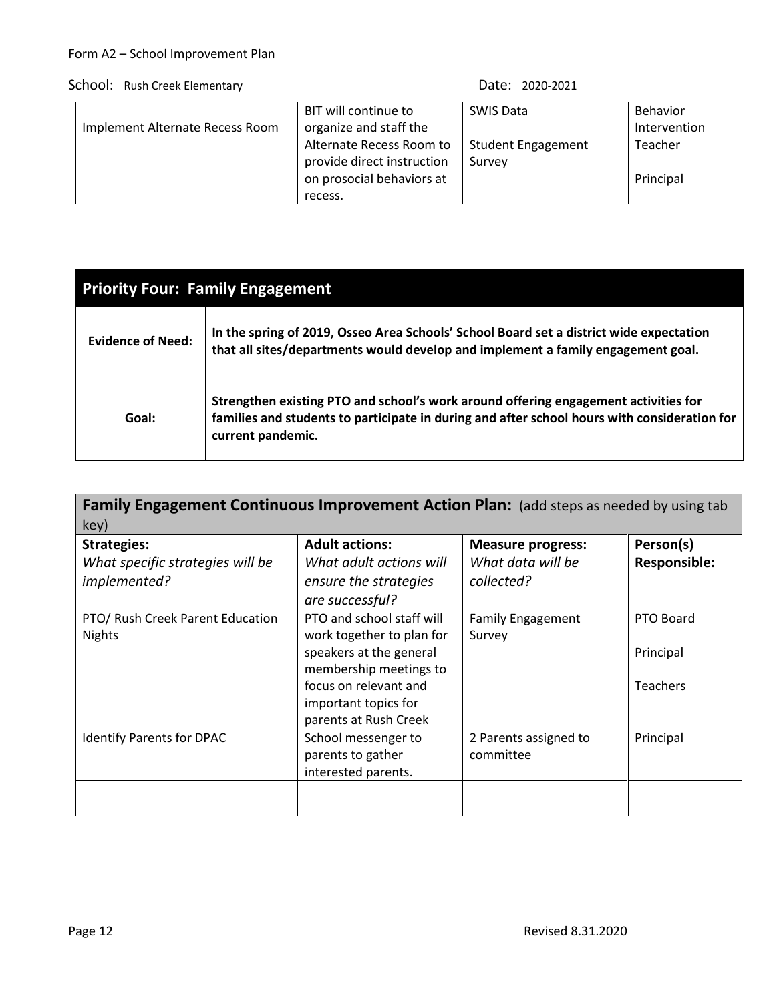| Implement Alternate Recess Room | BIT will continue to<br>organize and staff the          | <b>SWIS Data</b>          | Behavior<br>Intervention |
|---------------------------------|---------------------------------------------------------|---------------------------|--------------------------|
|                                 | Alternate Recess Room to                                | <b>Student Engagement</b> | Teacher                  |
|                                 | provide direct instruction<br>on prosocial behaviors at | Survey                    | Principal                |
|                                 | recess.                                                 |                           |                          |

| <b>Priority Four: Family Engagement</b> |                                                                                                                                                                                                          |  |  |
|-----------------------------------------|----------------------------------------------------------------------------------------------------------------------------------------------------------------------------------------------------------|--|--|
| <b>Evidence of Need:</b>                | In the spring of 2019, Osseo Area Schools' School Board set a district wide expectation<br>that all sites/departments would develop and implement a family engagement goal.                              |  |  |
| Goal:                                   | Strengthen existing PTO and school's work around offering engagement activities for<br>families and students to participate in during and after school hours with consideration for<br>current pandemic. |  |  |

| Family Engagement Continuous Improvement Action Plan: (add steps as needed by using tab<br>key) |                           |                          |                     |  |  |
|-------------------------------------------------------------------------------------------------|---------------------------|--------------------------|---------------------|--|--|
| <b>Strategies:</b>                                                                              | <b>Adult actions:</b>     | <b>Measure progress:</b> | Person(s)           |  |  |
| What specific strategies will be                                                                | What adult actions will   | What data will be        | <b>Responsible:</b> |  |  |
| implemented?                                                                                    | ensure the strategies     | collected?               |                     |  |  |
|                                                                                                 | are successful?           |                          |                     |  |  |
| PTO/ Rush Creek Parent Education                                                                | PTO and school staff will | <b>Family Engagement</b> | PTO Board           |  |  |
| <b>Nights</b>                                                                                   | work together to plan for | Survey                   |                     |  |  |
|                                                                                                 | speakers at the general   |                          | Principal           |  |  |
|                                                                                                 | membership meetings to    |                          |                     |  |  |
|                                                                                                 | focus on relevant and     |                          | <b>Teachers</b>     |  |  |
|                                                                                                 | important topics for      |                          |                     |  |  |
|                                                                                                 | parents at Rush Creek     |                          |                     |  |  |
| <b>Identify Parents for DPAC</b>                                                                | School messenger to       | 2 Parents assigned to    | Principal           |  |  |
|                                                                                                 | parents to gather         | committee                |                     |  |  |
|                                                                                                 | interested parents.       |                          |                     |  |  |
|                                                                                                 |                           |                          |                     |  |  |
|                                                                                                 |                           |                          |                     |  |  |